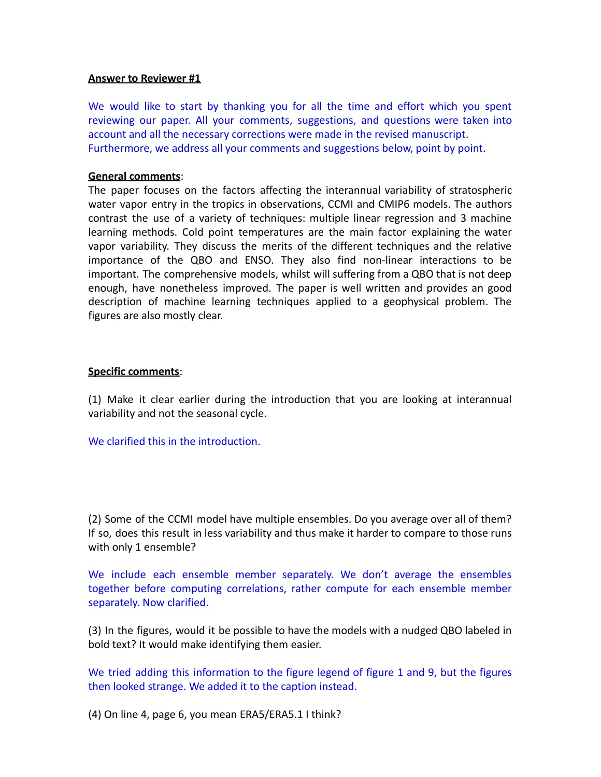# **Answer to Reviewer #1**

We would like to start by thanking you for all the time and effort which you spent reviewing our paper. All your comments, suggestions, and questions were taken into account and all the necessary corrections were made in the revised manuscript. Furthermore, we address all your comments and suggestions below, point by point.

# **General comments**:

The paper focuses on the factors affecting the interannual variability of stratospheric water vapor entry in the tropics in observations, CCMI and CMIP6 models. The authors contrast the use of a variety of techniques: multiple linear regression and 3 machine learning methods. Cold point temperatures are the main factor explaining the water vapor variability. They discuss the merits of the different techniques and the relative importance of the QBO and ENSO. They also find non-linear interactions to be important. The comprehensive models, whilst will suffering from a QBO that is not deep enough, have nonetheless improved. The paper is well written and provides an good description of machine learning techniques applied to a geophysical problem. The figures are also mostly clear.

# **Specific comments**:

(1) Make it clear earlier during the introduction that you are looking at interannual variability and not the seasonal cycle.

We clarified this in the introduction.

(2) Some of the CCMI model have multiple ensembles. Do you average over all of them? If so, does this result in less variability and thus make it harder to compare to those runs with only 1 ensemble?

We include each ensemble member separately. We don't average the ensembles together before computing correlations, rather compute for each ensemble member separately. Now clarified.

(3) In the figures, would it be possible to have the models with a nudged QBO labeled in bold text? It would make identifying them easier.

We tried adding this information to the figure legend of figure 1 and 9, but the figures then looked strange. We added it to the caption instead.

(4) On line 4, page 6, you mean ERA5/ERA5.1 I think?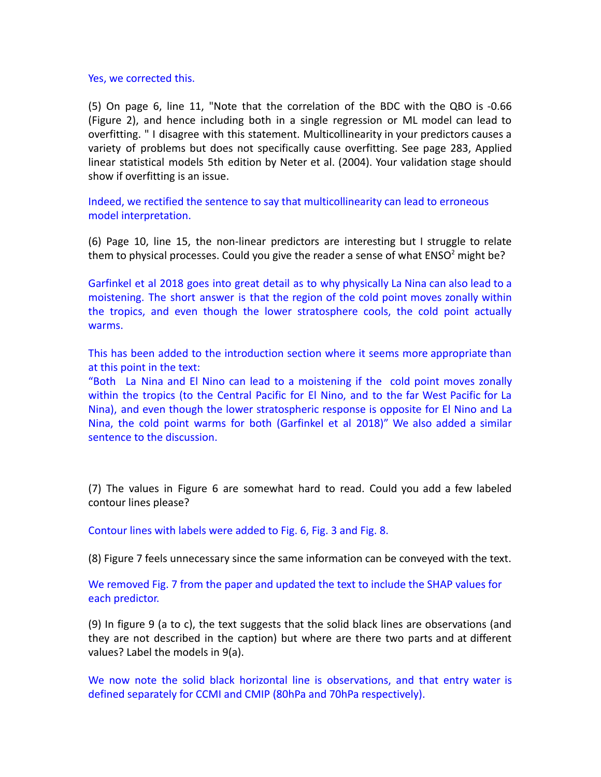Yes, we corrected this.

(5) On page 6, line 11, "Note that the correlation of the BDC with the QBO is -0.66 (Figure 2), and hence including both in a single regression or ML model can lead to overfitting. " I disagree with this statement. Multicollinearity in your predictors causes a variety of problems but does not specifically cause overfitting. See page 283, Applied linear statistical models 5th edition by Neter et al. (2004). Your validation stage should show if overfitting is an issue.

Indeed, we rectified the sentence to say that multicollinearity can lead to erroneous model interpretation.

(6) Page 10, line 15, the non-linear predictors are interesting but I struggle to relate them to physical processes. Could you give the reader a sense of what  $ENSO^2$  might be?

Garfinkel et al 2018 goes into great detail as to why physically La Nina can also lead to a moistening. The short answer is that the region of the cold point moves zonally within the tropics, and even though the lower stratosphere cools, the cold point actually warms.

This has been added to the introduction section where it seems more appropriate than at this point in the text:

"Both La Nina and El Nino can lead to a moistening if the cold point moves zonally within the tropics (to the Central Pacific for El Nino, and to the far West Pacific for La Nina), and even though the lower stratospheric response is opposite for El Nino and La Nina, the cold point warms for both (Garfinkel et al 2018)" We also added a similar sentence to the discussion.

(7) The values in Figure 6 are somewhat hard to read. Could you add a few labeled contour lines please?

Contour lines with labels were added to Fig. 6, Fig. 3 and Fig. 8.

(8) Figure 7 feels unnecessary since the same information can be conveyed with the text.

We removed Fig. 7 from the paper and updated the text to include the SHAP values for each predictor.

(9) In figure 9 (a to c), the text suggests that the solid black lines are observations (and they are not described in the caption) but where are there two parts and at different values? Label the models in 9(a).

We now note the solid black horizontal line is observations, and that entry water is defined separately for CCMI and CMIP (80hPa and 70hPa respectively).